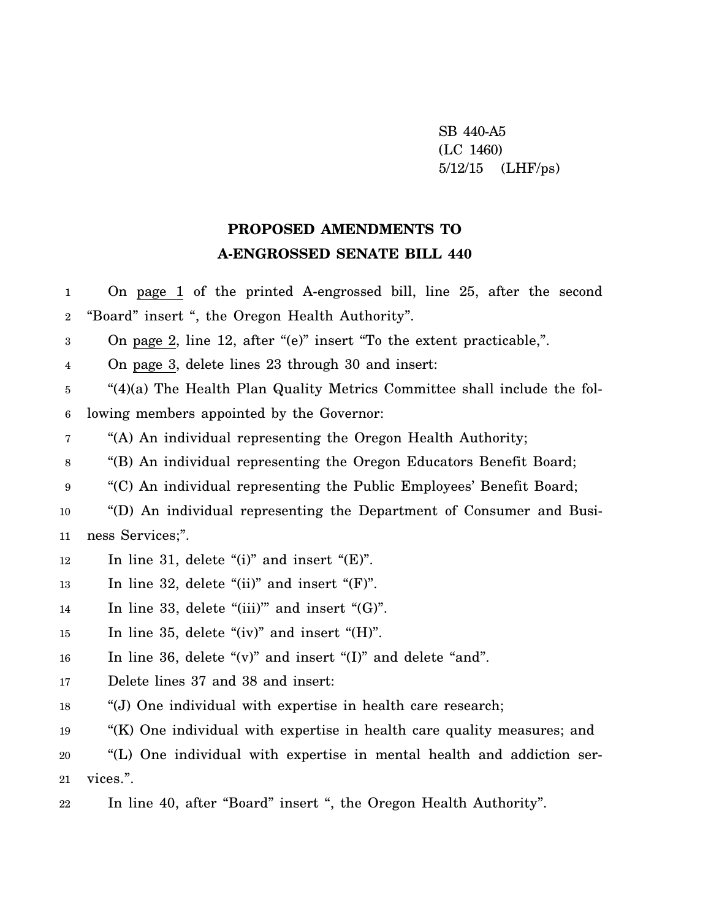SB 440-A5 (LC 1460) 5/12/15 (LHF/ps)

## **PROPOSED AMENDMENTS TO A-ENGROSSED SENATE BILL 440**

1 2 On page 1 of the printed A-engrossed bill, line 25, after the second "Board" insert ", the Oregon Health Authority".

3 On page 2, line 12, after "(e)" insert "To the extent practicable,".

4 On page 3, delete lines 23 through 30 and insert:

5 6 "(4)(a) The Health Plan Quality Metrics Committee shall include the following members appointed by the Governor:

7 "(A) An individual representing the Oregon Health Authority;

8 "(B) An individual representing the Oregon Educators Benefit Board;

9 "(C) An individual representing the Public Employees' Benefit Board;

10 11 "(D) An individual representing the Department of Consumer and Business Services;".

- 12 In line 31, delete "(i)" and insert " $(E)$ ".
- 13 In line 32, delete " $(ii)$ " and insert " $(F)$ ".
- 14 In line 33, delete "(iii)" and insert " $(G)$ ".

15 In line 35, delete "(iv)" and insert "(H)".

16 In line 36, delete "(v)" and insert "(I)" and delete "and".

- 17 Delete lines 37 and 38 and insert:
- 18 "(J) One individual with expertise in health care research;
- 19 "(K) One individual with expertise in health care quality measures; and

20 21 "(L) One individual with expertise in mental health and addiction services.".

22 In line 40, after "Board" insert ", the Oregon Health Authority".